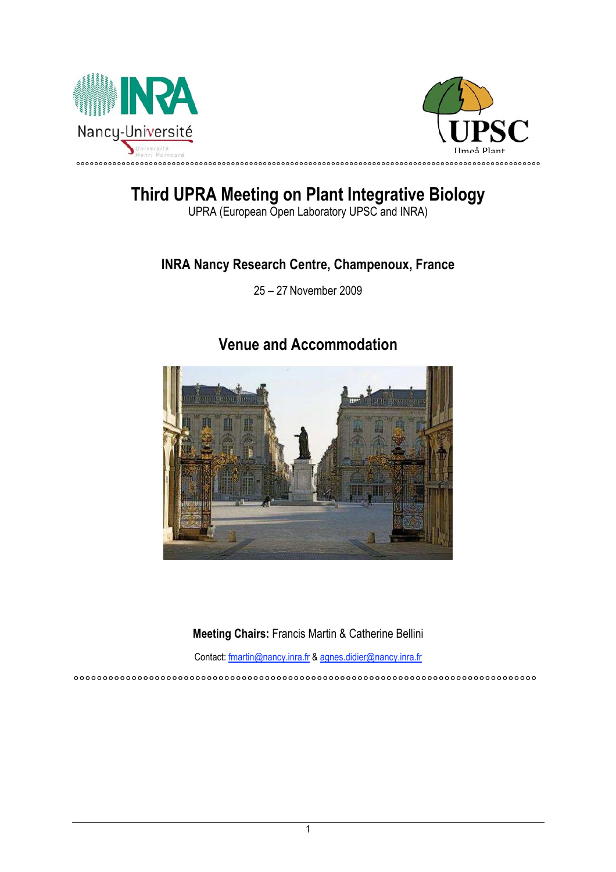



# **Third UPRA Meeting on Plant Integrative Biology**

UPRA (European Open Laboratory UPSC and INRA)

### **INRA Nancy Research Centre, Champenoux, France**

25 – 27 November 2009

## **Venue and Accommodation**



**Meeting Chairs:** Francis Martin & Catherine Bellini

Contact: fmartin@nancy.inra.fr & agnes.didier@nancy.inra.fr

°°°°°°°°°°°°°°°°°°°°°°°°°°°°°°°°°°°°°°°°°°°°°°°°°°°°°°°°°°°°°°°°°°°°°°°°°°°°°°°°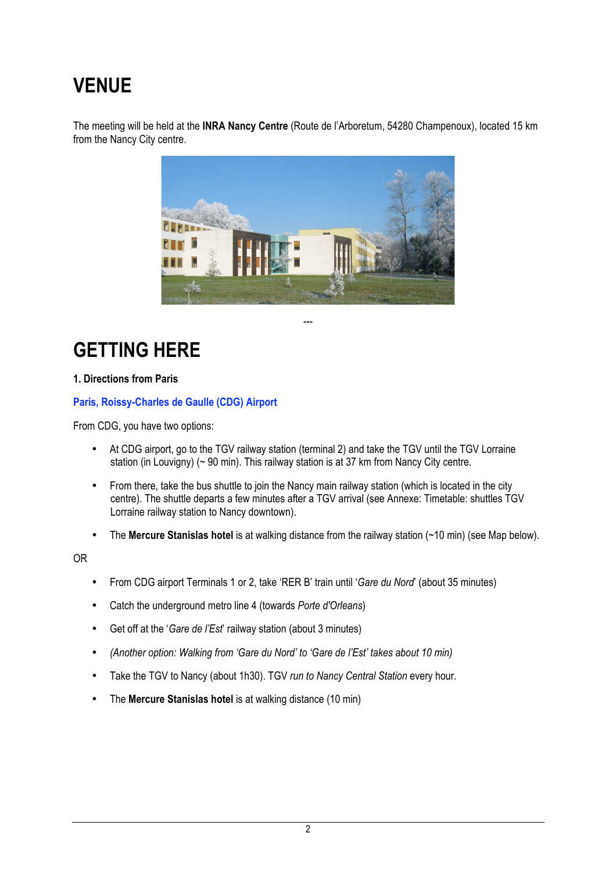# **VENUE**

The meeting will be held at the **INRA Nancy Centre** (Route de l'Arboretum, 54280 Champenoux), located 15 km from the Nancy City centre.



---

**GETTING HERE**

#### **1. Directions from Paris**

**Paris, Roissy-Charles de Gaulle (CDG) Airport**

From CDG, you have two options:

- At CDG airport, go to the TGV railway station (terminal 2) and take the TGV until the TGV Lorraine station (in Louvigny) (~ 90 min). This railway station is at 37 km from Nancy City centre.
- From there, take the bus shuttle to join the Nancy main railway station (which is located in the city centre). The shuttle departs a few minutes after a TGV arrival (see Annexe: Timetable: shuttles TGV Lorraine railway station to Nancy downtown).
- The **Mercure Stanislas hotel** is at walking distance from the railway station (~10 min) (see Map below).

OR

- From CDG airport Terminals 1 or 2, take 'RER B' train until '*Gare du Nord*' (about 35 minutes)
- Catch the underground metro line 4 (towards *Porte d'Orleans*)
- Get off at the '*Gare de l'Est*' railway station (about 3 minutes)
- *(Another option: Walking from 'Gare du Nord' to 'Gare de l'Est' takes about 10 min)*
- Take the TGV to Nancy (about 1h30). TGV *run to Nancy Central Station* every hour*.*
- The **Mercure Stanislas hotel** is at walking distance (10 min)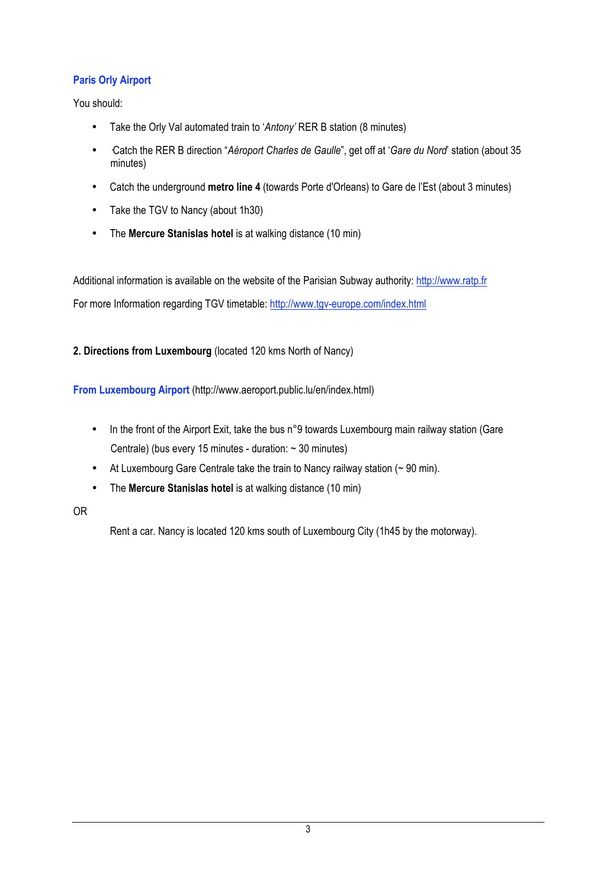### **Paris Orly Airport**

You should:

- Take the Orly Val automated train to '*Antony'* RER B station (8 minutes)
- ·Catch the RER B direction "*Aéroport Charles de Gaulle*", get off at '*Gare du Nord*' station (about 35 minutes)
- Catch the underground **metro line 4** (towards Porte d'Orleans) to Gare de l'Est (about 3 minutes)
- Take the TGV to Nancy (about 1h30)
- The **Mercure Stanislas hotel** is at walking distance (10 min)

Additional information is available on the website of the Parisian Subway authority: http://www.ratp.fr For more Information regarding TGV timetable: http://www.tgv-europe.com/index.html

**2. Directions from Luxembourg** (located 120 kms North of Nancy)

**From Luxembourg Airport** (http://www.aeroport.public.lu/en/index.html)

- In the front of the Airport Exit, take the bus n°9 towards Luxembourg main railway station (Gare Centrale) (bus every 15 minutes - duration: ~ 30 minutes)
- At Luxembourg Gare Centrale take the train to Nancy railway station (~90 min).
- The **Mercure Stanislas hotel** is at walking distance (10 min)

#### OR

Rent a car. Nancy is located 120 kms south of Luxembourg City (1h45 by the motorway).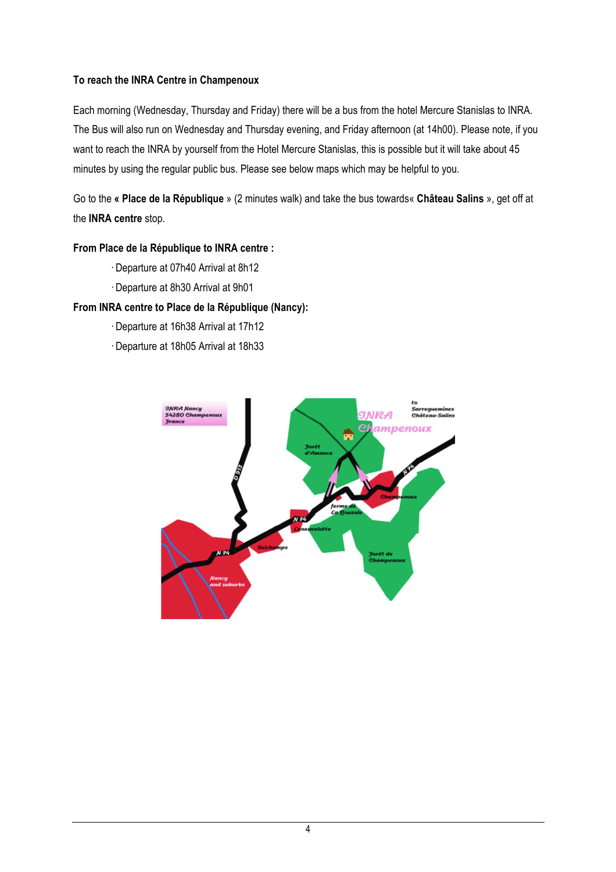### **To reach the INRA Centre in Champenoux**

Each morning (Wednesday, Thursday and Friday) there will be a bus from the hotel Mercure Stanislas to INRA. The Bus will also run on Wednesday and Thursday evening, and Friday afternoon (at 14h00). Please note, if you want to reach the INRA by yourself from the Hotel Mercure Stanislas, this is possible but it will take about 45 minutes by using the regular public bus. Please see below maps which may be helpful to you.

Go to the **« Place de la République** » (2 minutes walk) and take the bus towards« **Château Salins** », get off at the **INRA centre** stop.

#### **From Place de la République to INRA centre :**

- · Departure at 07h40 Arrival at 8h12
- · Departure at 8h30 Arrival at 9h01

### **From INRA centre to Place de la République (Nancy):**

- · Departure at 16h38 Arrival at 17h12
- · Departure at 18h05 Arrival at 18h33

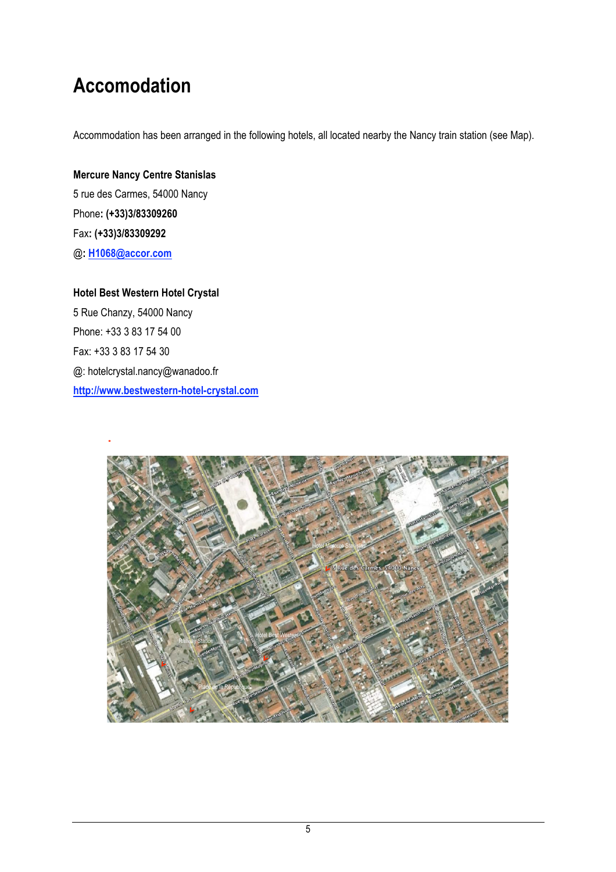# **Accomodation**

Accommodation has been arranged in the following hotels, all located nearby the Nancy train station (see Map).

**Mercure Nancy Centre Stanislas** 5 rue des Carmes, 54000 Nancy Phone**: (+33)3/83309260** Fax**: (+33)3/83309292** @**: H1068@accor.com**

**Hotel Best Western Hotel Crystal** 5 Rue Chanzy, 54000 Nancy Phone: +33 3 83 17 54 00 Fax: +33 3 83 17 54 30 @: hotelcrystal.nancy@wanadoo.fr **http://www.bestwestern-hotel-crystal.com**

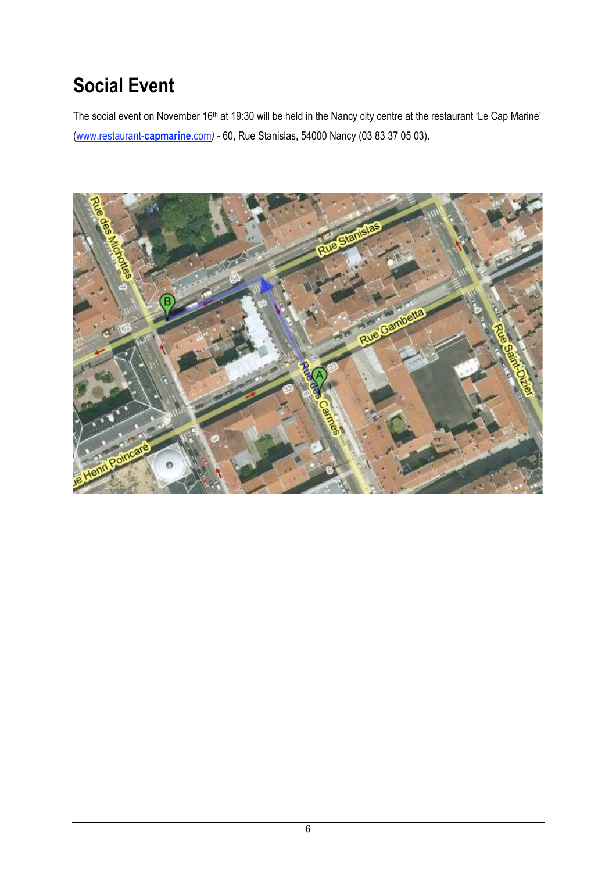# **Social Event**

The social event on November 16<sup>th</sup> at 19:30 will be held in the Nancy city centre at the restaurant 'Le Cap Marine' (www.restaurant-**capmarine**.com*) -* 60, Rue Stanislas, 54000 Nancy (03 83 37 05 03).